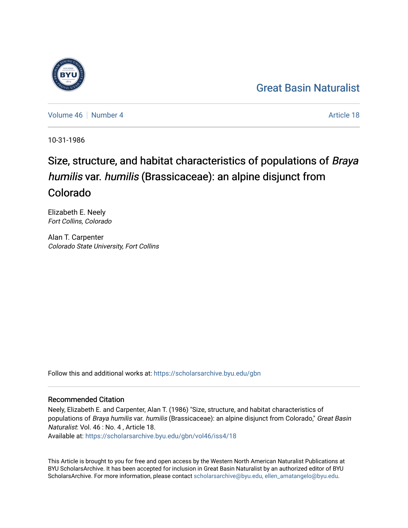## [Great Basin Naturalist](https://scholarsarchive.byu.edu/gbn)

[Volume 46](https://scholarsarchive.byu.edu/gbn/vol46) [Number 4](https://scholarsarchive.byu.edu/gbn/vol46/iss4) Article 18

10-31-1986

# Size, structure, and habitat characteristics of populations of Braya humilis var. humilis (Brassicaceae): an alpine disjunct from Colorado

Elizabeth E. Neely Fort Collins, Colorado

Alan T. Carpenter Colorado State University, Fort Collins

Follow this and additional works at: [https://scholarsarchive.byu.edu/gbn](https://scholarsarchive.byu.edu/gbn?utm_source=scholarsarchive.byu.edu%2Fgbn%2Fvol46%2Fiss4%2F18&utm_medium=PDF&utm_campaign=PDFCoverPages) 

### Recommended Citation

Neely, Elizabeth E. and Carpenter, Alan T. (1986) "Size, structure, and habitat characteristics of populations of Braya humilis var. humilis (Brassicaceae): an alpine disjunct from Colorado," Great Basin Naturalist: Vol. 46 : No. 4 , Article 18.

Available at: [https://scholarsarchive.byu.edu/gbn/vol46/iss4/18](https://scholarsarchive.byu.edu/gbn/vol46/iss4/18?utm_source=scholarsarchive.byu.edu%2Fgbn%2Fvol46%2Fiss4%2F18&utm_medium=PDF&utm_campaign=PDFCoverPages) 

This Article is brought to you for free and open access by the Western North American Naturalist Publications at BYU ScholarsArchive. It has been accepted for inclusion in Great Basin Naturalist by an authorized editor of BYU ScholarsArchive. For more information, please contact [scholarsarchive@byu.edu, ellen\\_amatangelo@byu.edu.](mailto:scholarsarchive@byu.edu,%20ellen_amatangelo@byu.edu)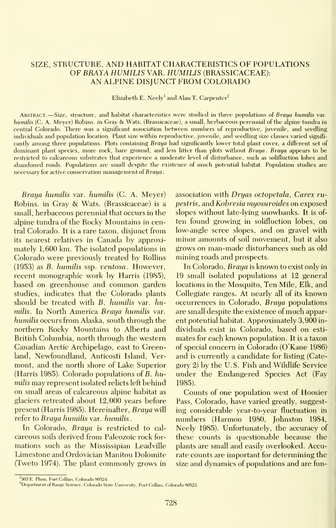#### SIZE, STRUCTURE, AND HABITAT CHARACTERISTICS OF POPULATIONS OF BRAYA HUMILIS VAR. HUMILIS (BRASSICACEAE): AN ALPINE DISJUNCT FROM COLORADO

Elizabeth E. Neely<sup>1</sup> and Alan T. Carpenter<sup>2</sup>

ABSTRACT. -Size, structure, and habitat characteristics were studied in three populations of Braya humilis var. humilis (C. A. Meyer) Robins, in Gray & Wats. (Brassicaceae), <sup>a</sup> small, herbaceous perennial of the alpine tundra in central Colorado. There was a significant association between numbers of reproductive, juvenile, and seedling individuals and population location. Plant size within reproductive, juvenile, and seedling size classes varied signifi cantly among three populations. Plots containing Braya had significantly lower total plant cover, a different set of dominant plant species, more rock, bare ground, and less litter than plots without Braya. Braya appears to be restricted to calcareous substrates that experience a moderate level of disturbance, such as solifluction lobes and abandoned roads. Populations are small despite the existence of much potential habitat. Population studies are necessary for active conservation management of Braya.

Braya humilis var. humilis (C. A. Meyer) Robins, in Gray & Wats. (Brassicaceae) is <sup>a</sup> small, herbaceous perennial that occurs in the alpine tundra of the Rocky Mountains in central Colorado. It is a rare taxon, disjunct from its nearest relatives in Canada by approximately 1,600 km. The isolated populations in Colorado were previously treated by Rollins (1953) as B. humilis ssp. ventosa. However, recent monographic work by Harris (1985), based on greenhouse and common garden studies, indicates that the Colorado plants should be treated with B. humilis var. humilis. In North America Braya humilis var. humilis occurs from Alaska, south through the northern Rocky Mountains to Alberta and British Columbia, north through the western Canadian Arctic Archipelago, east to Greenland, Newfoundland, Anticosti Island, Ver mont, and the north shore of Lake Superior (Harris 1985). Colorado populations of B. humilis may represent isolated relicts left behind on small areas of calcareous alpine habitat as glaciers retreated about 12,000 years before present (Harris 1985). Hereinafter, Braya will refer to Braya humilis var. humilis

In Colorado, Braya is restricted to calcareous soils derived from Paleozoic rock for mations such as the Mississipian Leadville Limestone and Ordovician Manitou Dolomite (Tweto 1974). The plant commonly grows in association with Dryas octopetala, Carex rupestris, and Kobresia myosuroides on exposed slopes without late-lying snowbanks. It is of ten found growing in solifluction lobes, on low-angle scree slopes, and on gravel with minor amounts of soil movement, but it also grows on man-made disturbances such as old mining roads and prospects.

In Colorado, Braya is known to exist only in 19 small isolated populations at 12 general locations in the Mosquito, Ten Mile, Elk, and Collegiate ranges. At nearly all of its known occurrences in Colorado, Braya populations are small despite the existence of much apparent potential habitat. Approximately 3,900 in dividuals exist in Colorado, based on esti mates for each known population. It is a taxon of special concern in Colorado (O'Kane 1986) and is currently a candidate for listing (Cate gory 2) by the U.S. Fish and Wildlife Service under the Endangered Species Act (Fay 1985).

Counts of one population west of Hoosier Pass, Colorado, have varied greatly, suggesting considerable year-to-year fluctuation in numbers (Harmon 1980, Johnston 1984, Neely 1985). Unfortunately, the accuracy of these counts is questionable because the plants are small and easily overlooked. Accurate counts are important for determining the size and dynamics of populations and are fun-

<sup>&</sup>lt;sup>1</sup>303 E. Plum, Fort Collins, Colorado 80524.

<sup>&</sup>lt;sup>2</sup>Department of Range Science, Colorado State University, Fort Collins, Colorado 80523.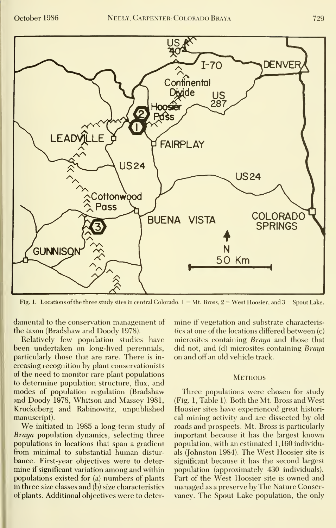

Fig. 1. Locations of the three study sites in central Colorado.  $1 = Mt$ . Bross,  $2 = West Hoosier$ , and  $3 = Spout Lake$ .

damental to the conservation management of the taxon (Bradshaw and Doody 1978).

Relatively few population studies have been undertaken on long-lived perennials, particularly those that are rare. There is in creasing recognition by plant conservationists of the need to monitor rare plant populations to determine population structure, flux, and modes of population regulation (Bradshaw and Doody 1978, Whitson and Massey 1981, Kruckeberg and Rabinowitz, unpublished manuscript).

We initiated in <sup>1985</sup> <sup>a</sup> long-term study of Braya population dynamics, selecting three populations in locations that span a gradient from minimal to substantial human distur bance. First-year objectives were to deter mine if significant variation among and within populations existed for (a) numbers of plants in three size classes and (b) size characteristics of plants. Additional objectives were to deter-

mine if vegetation and substrate characteristics at one of the locations differed between (c) microsites containing *Braya* and those that did not, and (d) microsites containing Braya on and off an old vehicle track.

#### **METHODS**

Three populations were chosen for study (Fig. 1, Table 1). Both the Mt. Bross and West Hoosier sites have experienced great historical mining activity and are dissected by old roads and prospects. Mt. Bross is particularly important because it has the largest known population, with an estimated 1,160 individuals (Johnston 1984). The West Hoosier site is significant because it has the second largest population (approximately 430 individuals). Part of the West Hoosier site is owned and managed asa preserve by The Nature Conservancy. The Spout Lake population, the only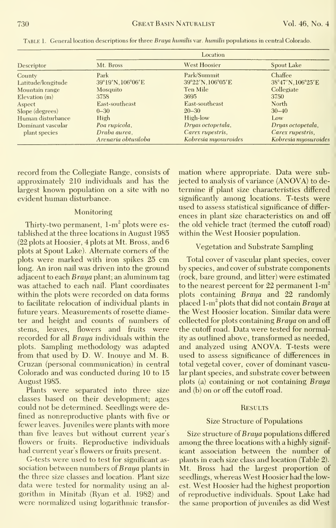|                    | Location            |                      |                      |  |
|--------------------|---------------------|----------------------|----------------------|--|
| Descriptor         | Mt. Bross           | <b>West Hoosier</b>  | Spout Lake           |  |
| County             | Park                | Park/Summit          | Chaffee              |  |
| Latitude/longitude | 39°19'N, 106°06'E   | 39°22'N, 106°05'E    | 38°47'N, 106°25'E    |  |
| Mountain range     | Mosquito            | Ten Mile             | Collegiate           |  |
| $E$ levation $(m)$ | 3758                | 3695                 | 3750                 |  |
| Aspect             | East-southeast      | East-southeast       | North                |  |
| Slope (degrees)    | $0 - 30$            | $20 - 30$            | $30 - 40$            |  |
| Human disturbance  | High                | High-low             | Low                  |  |
| Dominant vascular  | Poa rupicola,       | Dryas octopetala,    | Dryas octopetala,    |  |
| plant species      | Draba aurea.        | Carex rupestris,     | Carex rupestris,     |  |
|                    | Arenaria obtusiloba | Kobresia myosuroides | Kobresia myosuroides |  |

TABLE 1. General location descriptions for three Braya humilis var. humilis populations in central Colorado.

record from the Collegiate Range, consists of approximately 210 individuals and has the largest known population on a site with no evident human disturbance.

#### Monitoring

Thirty-two permanent,  $1-m<sup>2</sup>$  plots were established at the three locations in August 1985 (22 plots at Hoosier, 4 plots at Mt. Bross, and 6 plots at Spout Lake). Alternate corners of the plots were marked with iron spikes 25 cm long. An iron nail was driven into the ground adjacent to each Braya plant; an aluminum tag was attached to each nail. Plant coordinates within the plots were recorded on data forms to facilitate relocation of individual plants in future years. Measurements of rosette diameter and height and counts of numbers of stems, leaves, flowers and fruits were recorded for all *Braya* individuals within the plots. Sampling methodology was adapted from that used by D. W. Inouye and M. B. Cruzan (personal communication) in central Colorado and was conducted during 10 to 15 August 1985.

Plants were separated into three size classes based on their development; ages could not be determined. Seedlings were defined as nonreproductive plants with five or fewer leaves. Juveniles were plants with more than five leaves but without current year's flowers or fruits. Reproductive individuals had current year's flowers or fruits present.

G-tests were used to test for significant as sociation between numbers of Braya plants in the three size classes and location. Plant size data were tested for normality using an al gorithm in Minitab (Ryan et al. 1982) and were normalized using logarithmic transformation where appropriate. Data were subjected to analysis of variance (ANOVA) to determine if plant size characteristics differed significantly among locations. T-tests were used to assess statistical significance of differ ences in plant size characteristics on and off the old vehicle tract (termed the cutoff road) within the West Hoosier population.

#### Vegetation and Substrate Sampling

Total cover of vascular plant species, cover by species, and cover of substrate components (rock, bare ground, and litter) were estimated to the nearest percent for 22 permanent  $1-m^2$ plots containing Braya and 22 randomly placed 1-m<sup>2</sup> plots that did not contain Braya at the West Hoosier location. Similar data were collected for plots containing Braya on and off the cutoff road. Data were tested for normality as outlined above, transformed as needed, and analyzed using ANOVA. T-tests were used to assess significance of differences in total vegetal cover, cover of dominant vascular plant species, and substrate cover between plots (a) containing or not containing Braya and (b) on or off the cutoff road.

#### **RESULTS**

#### Size Structure of Populations

Size structure of *Braya* populations differed among the three locations with a highly signif icant association between the number of plants in each size class and location (Table 2). Mt. Bross had the largest proportion of seedlings, whereas West Hoosier had the lowest. West Hoosier had the highest proportion of reproductive individuals. Spout Lake had the same proportion of juveniles as did West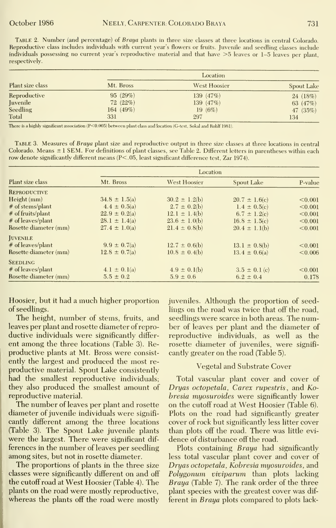TABLE 2. Number (and percentage) of Braya plants in three size classes at three locations in central Colorado. Reproductive class includes individuals with current year's flowers or fruits. Juvenile and seedling classes include individuals possessing no current year's reproductive material and that have  $>5$  leaves or 1-5 leaves per plant, respectively.

| Plant size class | Location     |              |                   |
|------------------|--------------|--------------|-------------------|
|                  | Mt. Bross    | West Hoosier | <b>Spout Lake</b> |
| Reproductive     | 95(29%)      | 139 (47%)    | 24 (18%)          |
| Juvenile         | 72(22%)      | 139 (47%)    | 63 (47%)          |
| Seedling         | 164 $(49\%)$ | 19(6%)       | 47 $(35%)$        |
| Total            | 331          | 297          | 134               |

There is a highly significant association (P<0.005) between plant class and location (G-test, Sokal and Rohlf 1981).

TABLE 3. Measures of Braya plant size and reproductive output in three size classes at three locations in central Colorado. Means ± 1 SEM. For definitions of plant classes, see Table 2. Different letters in parentheses within each row denote significantly different means  $(P<.05$ , least significant difference test, Zar 1974).

| Plant size class      | Location          |                     |                   |         |  |
|-----------------------|-------------------|---------------------|-------------------|---------|--|
|                       | Mt. Bross         | <b>West Hoosier</b> | Spout Lake        | P-value |  |
| <b>REPRODUCTIVE</b>   |                   |                     |                   |         |  |
| Height (mm)           | $34.8 \pm 1.5(a)$ | $30.2 \pm 1.2(b)$   | $20.7 \pm 1.6(c)$ | < 0.001 |  |
| # of stems/plant      | $4.4 \pm 0.5(a)$  | $2.7 \pm 0.2(b)$    | $1.4 \pm 0.5(c)$  | < 0.001 |  |
| # of fruits/plant     | $22.9 \pm 0.2(a)$ | $12.1 \pm 1.4(b)$   | $6.7 \pm 1.2(c)$  | < 0.001 |  |
| # of leaves/plant     | $28.1 \pm 1.4(a)$ | $23.6 \pm 1.0(b)$   | $16.8 \pm 1.5(c)$ | < 0.001 |  |
| Rosette diameter (mm) | $27.4 \pm 1.0(a)$ | $21.4 \pm 0.8(b)$   | $20.4 \pm 1.1(b)$ | < 0.001 |  |
| <b>IUVENILE</b>       |                   |                     |                   |         |  |
| # of leaves/plant     | $9.9 \pm 0.7(a)$  | $12.7 \pm 0.6(b)$   | $13.1 \pm 0.8(b)$ | < 0.001 |  |
| Rosette diameter (mm) | $12.8 \pm 0.7(a)$ | $10.8 \pm 0.4(b)$   | $13.4 \pm 0.6(a)$ | < 0.006 |  |
| <b>SEEDLING</b>       |                   |                     |                   |         |  |
| # of leaves/plant     | $4.1 \pm 0.1(a)$  | $4.9 \pm 0.1(b)$    | $3.5 \pm 0.1$ (c) | < 0.001 |  |
| Rosette diameter (mm) | $5.5 \pm 0.2$     | $5.9 \pm 0.6$       | $6.2 \pm 0.4$     | 0.178   |  |

Hoosier, but it had a much higher proportion of seedlings.

The height, number of stems, fruits, and leaves per plant and rosette diameter of reproductive individuals were significantly different among the three locations (Table 3). Reproductive plants at Mt. Bross were consistently the largest and produced the most reproductive material. Spout Lake consistently had the smallest reproductive individuals; they also produced the smallest amount of reproductive material.

The number of leaves per plant and rosette diameter of juvenile individuals were significantly different among the three locations (Table 3). The Spout Lake juvenile plants were the largest. There were significant differences in the number of leaves per seedling among sites, but not in rosette diameter.

The proportions of plants in the three size classes were significantly different on and off the cutoff road at West Hoosier (Table 4). The plants on the road were mostly reproductive, whereas the plants off the road were mostly

juveniles. Although the proportion of seedlings on the road was twice that off the road. seedlings were scarce in both areas. The number of leaves per plant and the diameter of reproductive individuals, as well as the rosette diameter of juveniles, were significantly greater on the road (Table 5).

#### Vegetal and Substrate Cover

Total vascular plant cover and cover of Dryas octopetala, Carex rupestris, and Kobresia myosuroides were significantly lower on the cutoff road at West Hoosier (Table 6). Plots on the road had significantly greater cover of rock but significantly less litter cover than plots off the road. There was little evidence of disturbance off the road.

Plots containing Braya had significantly less total vascular plant cover and cover of Dryas octopetala, Kobresia myosuroides, and Polygonum viviparum than plots lacking Braya (Table 7). The rank order of the three plant species with the greatest cover was different in *Braya* plots compared to plots lack-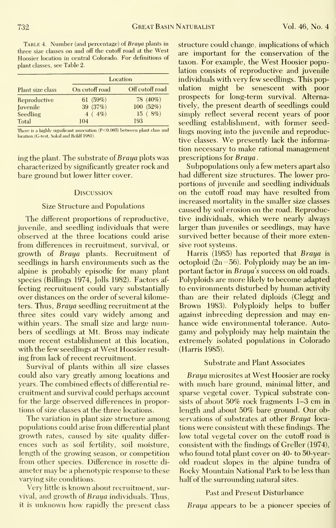TABLE 4. Number (and percentage) of *Braya* plants in three size classes on and off the cutoff road at the West Hoosier location in central Colorado. For definitions of plant classes, see Table 2.

|                  | Location       |                 |  |
|------------------|----------------|-----------------|--|
| Plant size class | On cutoff road | Off cutoff road |  |
| Reproductive     | 61 $(59%)$     | 78 (40%)        |  |
| Juvenile         | 39 (37%)       | 100(52%)        |  |
| Seedling         | $4(4\%)$       | 15(8%)          |  |
| Total            | 104            | 193             |  |

There is a highly significant association (P<0.005) between plant class and location (G-test, Sokal and Rohlf 1981).

ing the plant. The substrate of *Braya* plots was characterized by significantly greater rock and bare ground but lower litter cover.

#### **Discussion**

#### Size Structure and Populations

The different proportions of reproductive, juvenile, and seedling individuals that were observed at the three locations could arise from differences in recruitment, survival, or growth of Braya plants. Recruitment of seedlings in harsh environments such as the alpine is probably episodic for many plant species (Billings 1974, Jolls 1982). Factors af fecting recruitment could vary substantially over distances on the order of several kilometers. Thus, Braya seedling recruitment at the three sites could vary widely among and within years. The small size and large numbers of seedlings at Mt. Bross may indicate more recent establishment at this location, with the few seedlings at West Hoosier result ing from lack of recent recruitment.

Survival of plants within all size classes could also vary greatly among locations and years. The combined effects of differential re cruitment and survival could perhaps account for the large observed differences in proportions of size classes at the three locations.

The variation in plant size structure among populations could arise from differential plant growth rates, caused by site quality differences such as soil fertility, soil moisture, length of the growing season, or competition from other species. Difference in rosette di ameter may be a phenotypic response to these varying site conditions.

Very little is known about recruitment, survival, and growth of Braya individuals. Thus, it is unknown how rapidly the present class structure could change, implications of which are important for the conservation of the taxon. For example, the West Hoosier population consists of reproductive and juvenile individuals with very few seedlings. This population might be senescent with poor prospects for long-term survival. Alternatively, the present dearth of seedlings could simply reflect several recent years of poor seedling establishment, with former seedlings moving into the juvenile and reproductive classes. We presently lack the information necessary to make rational management prescriptions for Braya.

Subpopulations only a few meters apart also had different size structures. The lower proportions of juvenile and seedling individuals on the cutoff road may have resulted from increased mortality in the smaller size classes caused by soil erosion on the road. Reproductive individuals, which were nearly always larger than juveniles or seedlings, may have survived better because of their more extensive root systems.

Harris (1985) has reported that Braya is octoploid  $(2n=56)$ . Polyploidy may be an important factor in Braua's success on old roads. Polyploids are more likely to become adapted to environments disturbed by human activity than are their related diploids (Clegg and Brown 1983). Polyploidy helps to buffer against inbreeding depression and may en hance wide environmental tolerance. Auto gamy and polyploidy may help maintain the extremely isolated populations in Colorado (Harris 1985).

#### Substrate and Plant Associates

Braya microsites at West Hoosier are rocky with much bare ground, minimal litter, and sparse vegetal cover. Typical substrate consists of about 50% rock fragments 1-3 cm in length and about 50% bare ground. Our observations of substrates at other Braya locations were consistent with these findings. The low total vegetal cover on the cutoff road is consistent with the findings of Greller (1974), who found total plant cover on 40- to 50-yearold roadcut slopes in the alpine tundra of Rocky Mountain National Park to be less than half of the surrounding natural sites.

#### Past and Present Disturbance

Braya appears to be a pioneer species of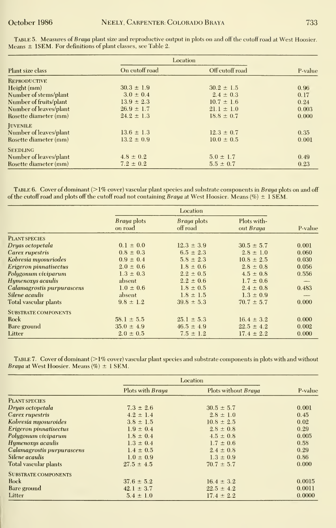|                        | Location       |                 |         |  |
|------------------------|----------------|-----------------|---------|--|
| Plant size class       | On cutoff road | Off cutoff road | P-value |  |
| <b>REPRODUCTIVE</b>    |                |                 |         |  |
| Height(mm)             | $30.3 \pm 1.9$ | $30.2 \pm 1.5$  | 0.96    |  |
| Number of stems/plant  | $3.0 \pm 0.4$  | $2.4 \pm 0.3$   | 0.17    |  |
| Number of fruits/plant | $13.9 \pm 2.3$ | $10.7 \pm 1.6$  | 0.24    |  |
| Number of leaves/plant | $26.9 \pm 1.7$ | $21.1 \pm 1.0$  | 0.003   |  |
| Rosette diameter (mm)  | $24.2 \pm 1.3$ | $18.8 \pm 0.7$  | 0.000   |  |
| <b>JUVENILE</b>        |                |                 |         |  |
| Number of leaves/plant | $13.6 \pm 1.3$ | $12.3 \pm 0.7$  | 0.35    |  |
| Rosette diameter (mm)  | $13.2 \pm 0.9$ | $10.0 \pm 0.5$  | 0.001   |  |
| <b>SEEDLING</b>        |                |                 |         |  |
| Number of leaves/plant | $4.8 \pm 0.2$  | $5.0 \pm 1.7$   | 0.49    |  |
| Rosette diameter (mm)  | $7.2 \pm 0.2$  | $5.5 \pm 0.7$   | 0.23    |  |

Table 5. Measures of *Braya* plant size and reproductive output in plots on and off the cutoff road at West Hoosier.<br>Means ± 1SEM. For definitions of plant classes, see Table 2.

TABLE 6. Cover of dominant (>1% cover) vascular plant species and substrate components in Braya plots on and off of the cutoff road and plots off the cutoff road not containing Braya at West Hoosier. Means (%)  $\pm$  1 SEM.

|                              | Location               |                         |                          |                          |
|------------------------------|------------------------|-------------------------|--------------------------|--------------------------|
|                              | Braya plots<br>on road | Braya plots<br>off road | Plots with-<br>out Braya | P-value                  |
| <b>PLANT SPECIES</b>         |                        |                         |                          |                          |
| Dryas octopetala             | $0.1 \pm 0.0$          | $12.3 \pm 3.9$          | $30.5 \pm 5.7$           | 0.001                    |
| Carex rupestris              | $0.8 \pm 0.3$          | $6.5 \pm 2.3$           | $2.8 \pm 1.0$            | 0.060                    |
| Kobresia myosuriodes         | $0.9 \pm 0.4$          | $5.8 \pm 2.3$           | $10.8 \pm 2.5$           | 0.030                    |
| Erigeron pinnatisectus       | $2.0 \pm 0.6$          | $1.8 \pm 0.6$           | $2.8 \pm 0.8$            | 0.056                    |
| Polygonum viviparum          | $1.3 \pm 0.3$          | $2.2 \pm 0.5$           | $4.5 \pm 0.8$            | 0.556                    |
| Hymenoxys acaulis            | absent                 | $2.2 \pm 0.6$           | $1.7 \pm 0.6$            | $-$                      |
| Calamagrostis purpurascens   | $1.0 \pm 0.6$          | $1.8 \pm 0.5$           | $2.4 \pm 0.8$            | 0.483                    |
| Silene acaulis               | absent                 | $1.8 \pm 1.5$           | $1.3 \pm 0.9$            | $\overline{\phantom{a}}$ |
| <b>Total vascular plants</b> | $9.8 \pm 1.2$          | $39.8 \pm 5.3$          | $70.7 \pm 5.7$           | 0.000                    |
| <b>SUBSTRATE COMPONENTS</b>  |                        |                         |                          |                          |
| Rock                         | $58.1 \pm 5.5$         | $25.1 \pm 5.3$          | $16.4 \pm 3.2$           | 0.000                    |
| Bare ground                  | $35.0 \pm 4.9$         | $46.5 \pm 4.9$          | $22.5 \pm 4.2$           | 0.002                    |
| Litter                       | $2.0 \pm 0.5$          | $7.5 \pm 1.2$           | $17.4 \pm 2.2$           | 0.000                    |

TABLE 7. Cover of dominant (>1% cover) vascular plant species and substrate components in plots with and without Braya at West Hoosier. Means  $(\%) \pm 1$  SEM.

|                             | Location                |                     |         |
|-----------------------------|-------------------------|---------------------|---------|
|                             | Plots with <i>Braya</i> | Plots without Braya | P-value |
| <b>PLANT SPECIES</b>        |                         |                     |         |
| Dryas octopetala            | $7.3 \pm 2.6$           | $30.5 \pm 5.7$      | 0.001   |
| Carex rupestris             | $4.2 \pm 1.4$           | $2.8 \pm 1.0$       | 0.45    |
| Kobresia myosuroides        | $3.8 \pm 1.5$           | $10.8 \pm 2.5$      | 0.02    |
| Erigeron pinnatisectus      | $1.9 \pm 0.4$           | $2.8 \pm 0.8$       | 0.29    |
| Polygonum viviparum         | $1.8 \pm 0.4$           | $4.5 \pm 0.8$       | 0.005   |
| Hymenoxys acaulis           | $1.3 \pm 0.4$           | $1.7 \pm 0.6$       | 0.58    |
| Calamagrostis purpurascens  | $1.4 \pm 0.5$           | $2.4 \pm 0.8$       | 0.29    |
| Silene acaulis              | $1.0 \pm 0.9$           | $1.3 \pm 0.9$       | 0.86    |
| Total vascular plants       | $27.5 \pm 4.5$          | $70.7 \pm 5.7$      | 0.000   |
| <b>SUBSTRATE COMPONENTS</b> |                         |                     |         |
| Rock                        | $37.6 \pm 5.2$          | $16.4 \pm 3.2$      | 0.0015  |
| Bare ground                 | $42.1 \pm 3.7$          | $22.5 \pm 4.2$      | 0.0011  |
| Litter                      | $5.4 \pm 1.0$           | $17.4 \pm 2.2$      | 0.0000  |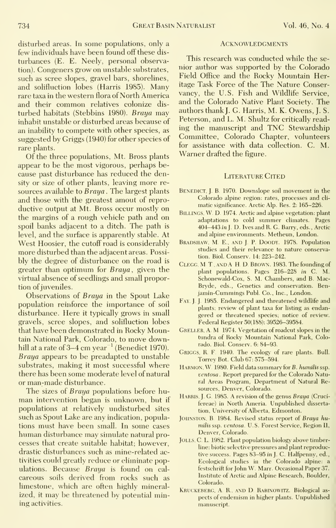734 Great Basin Naturalist Vol. 46, No. 4

disturbed areas. In some populations, only a few individuals have been found off these dis turbances (E. E. Neely, personal observation). Congeners grow on unstable substrates, such as scree slopes, gravel bars, shorelines, and solifluction lobes (Harris 1985). Many rare taxa in the western flora of North America and their common relatives colonize dis turbed habitats (Stebbins 1980). Braya may inhabit unstable or disturbed areas because of an inability to compete with other species, as suggested by Griggs (1940) for other species of rare plants.

Of the three populations, Mt. Bross plants appear to be the most vigorous, perhaps be cause past disturbance has reduced the density or size of other plants, leaving more re sources available to Braya. The largest plants and those with the greatest amout of repro ductive output at Mt. Bross occur mostly on the margins of a rough vehicle path and on spoil banks adjacent to a ditch. The path islevel, and the surface is apparently stable. At West Hoosier, the cutoff road is considerably more disturbed than the adjacent areas. Possi bly the degree of disturbance on the road isgreater than optimum for Braya, given the virtual absence of seedlings and small proportion of juveniles.

Observations of Braya in the Spout Lake population reinforce the importance of soil disturbance. Here it typically grows in small gravels, scree slopes, and solifluction lobes that have been demonstrated in Rocky Mountain National Park, Colorado, to move downhill at a rate of  $3-4$  cm year<sup> $-1$ </sup> (Benedict 1970). Braya appears to be preadapted to unstable substrates, making it most successful where there has been some moderate level of natural or man-made disturbance.

The sizes of Braya populations before hu man intervention began is unknown, but if populations at relatively undisturbed sites such as Spout Lake are any indication, populations must have been small. In some cases human disturbance may simulate natural processes that create suitable habitat; however, drastic disturbances such as mine-related activities could greatly reduce or eliminate populations. Because Braya is found on calcareous soils derived from rocks such as limestone, which are often highly mineralized, it may be threatened by potential mining activities.

#### **ACKNOWLEDGMENTS**

This research was conducted while the se nior author was supported by the Colorado Field Office and the Rocky Mountain Heritage Task Force of the The Nature Conservancy, the U.S. Fish and Wildlife Service, and the Colorado Native Plant Society. The authors thank J. G. Harris, M. K. Owens, J. S. Peterson, and L. M. Shultz for critically reading the manuscript and TNC Stewardship Committee, Colorado Chapter, volunteers for assistance with data collection. C. M. Warner drafted the figure.

#### Literature Cited

- BENEDICT, J. B. 1970. Downslope soil movement in the Colorado alpine region; rates, processes and cli matic significance. Arctic Alp. Res. 2: 165-226.
- BILLINGS, W. D. 1974. Arctic and alpine vegetation: plant adaptations to cold summer climates. Pages 404-443 in J. D. Ives and R. G. Barry, eds., Arctic and alpine environments. Metheun, London.
- BRADSHAW, M. E., AND J. P. DOODY. 1978. Population studies and their relevance to nature conservation. Biol. Conserv. 14: 223-242.
- CLEGG, M.T., AND A H.D. BROWN. 1983. The founding of plant populations. Pages 216-228 in C. M. Schonewald-Cox, S. M. Chambers, and B. Mac-Bryde, eds.. Genetics and conservation. Ben jamin-Cummings Publ. Co., Inc., London.
- FAY. J. J. 1985. Endangered and threatened wildlife and plants; review of plant taxa for listing as endangered or threatened species; notice of review. Federal Register 50(188); 39526-39584.
- GRELLER, A. M. 1974. Vegetation of roadcut slopes in the tundra of Rocky Mountain National Park, Colorado. Biol. Conserv. 6: 84-93.
- GRIGGS, R. F. 1940. The ecology of rare plants. Bull. Torrey Bot. Club 67: 575-594.
- HARMON, W. 1980. Field data summary for B. humilis ssp. ventosa . Report prepared for the Colorado Natural Areas Program, Department of Natural Resources, Denver, Colorado.
- HARRIS, J. G. 1985. A revision of the genus Braya (Crucifereae) in North Ameria. Unpublished dissertation. University of Alberta, Edmonton.
- JOHNSTON, B. 1984. Revised status report of Braya humilis asp. ventosa. U.S. Forest Service, Region II, Denver, Colorado.
- JOLLS, C. L. 1982. Plant population biology above timberline; biotic selective pressures and plant reproductive success. Pages 83-95 in J. C. Halfpenny, ed.. Ecological studies in the Colorado alpine: a festschrift for John W. Marr. Occasional Paper 37. Institute of Arctic and Alpine Research, Boulder, Colorado.
- KRUCKEBERG, A. R., AND D. RABINOWITZ. Biological aspects of endemism in higher plants. Unpublished manuscript.